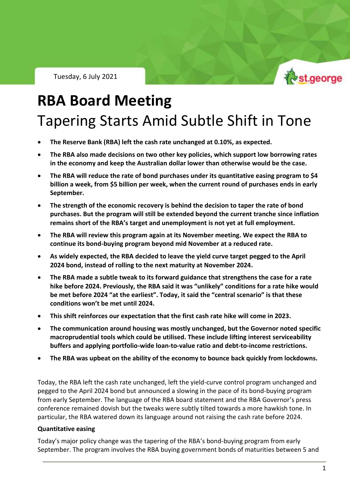Tuesday, 6 July 2021



RBA Policy Outlook – 6 July, 2021

# **RBA Board Meeting** Tapering Starts Amid Subtle Shift in Tone

- **The Reserve Bank (RBA) left the cash rate unchanged at 0.10%, as expected.**
- **The RBA also made decisions on two other key policies, which support low borrowing rates in the economy and keep the Australian dollar lower than otherwise would be the case.**
- **The RBA will reduce the rate of bond purchases under its quantitative easing program to \$4 billion a week, from \$5 billion per week, when the current round of purchases ends in early September.**
- **The strength of the economic recovery is behind the decision to taper the rate of bond purchases. But the program will still be extended beyond the current tranche since inflation remains short of the RBA's target and unemployment is not yet at full employment.**
- **The RBA will review this program again at its November meeting. We expect the RBA to continue its bond-buying program beyond mid November at a reduced rate.**
- **As widely expected, the RBA decided to leave the yield curve target pegged to the April 2024 bond, instead of rolling to the next maturity at November 2024.**
- **The RBA made a subtle tweak to its forward guidance that strengthens the case for a rate hike before 2024. Previously, the RBA said it was "unlikely" conditions for a rate hike would be met before 2024 "at the earliest". Today, it said the "central scenario" is that these conditions won't be met until 2024.**
- **This shift reinforces our expectation that the first cash rate hike will come in 2023.**
- **The communication around housing was mostly unchanged, but the Governor noted specific macroprudential tools which could be utilised. These include lifting interest serviceability buffers and applying portfolio-wide loan-to-value ratio and debt-to-income restrictions.**
- **The RBA was upbeat on the ability of the economy to bounce back quickly from lockdowns.**

Today, the RBA left the cash rate unchanged, left the yield-curve control program unchanged and pegged to the April 2024 bond but announced a slowing in the pace of its bond-buying program from early September. The language of the RBA board statement and the RBA Governor's press conference remained dovish but the tweaks were subtly tilted towards a more hawkish tone. In particular, the RBA watered down its language around not raising the cash rate before 2024.

#### **Quantitative easing**

Today's major policy change was the tapering of the RBA's bond-buying program from early September. The program involves the RBA buying government bonds of maturities between 5 and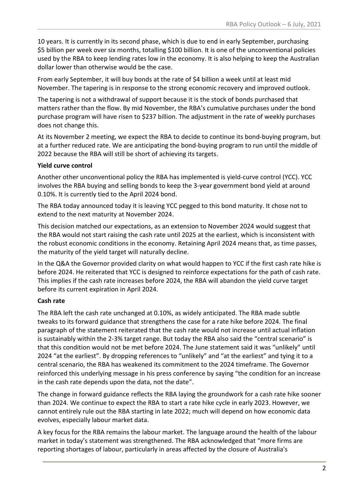10 years. It is currently in its second phase, which is due to end in early September, purchasing \$5 billion per week over six months, totalling \$100 billion. It is one of the unconventional policies used by the RBA to keep lending rates low in the economy. It is also helping to keep the Australian dollar lower than otherwise would be the case.

From early September, it will buy bonds at the rate of \$4 billion a week until at least mid November. The tapering is in response to the strong economic recovery and improved outlook.

The tapering is not a withdrawal of support because it is the stock of bonds purchased that matters rather than the flow. By mid November, the RBA's cumulative purchases under the bond purchase program will have risen to \$237 billion. The adjustment in the rate of weekly purchases does not change this.

At its November 2 meeting, we expect the RBA to decide to continue its bond-buying program, but at a further reduced rate. We are anticipating the bond-buying program to run until the middle of 2022 because the RBA will still be short of achieving its targets.

### **Yield curve control**

Another other unconventional policy the RBA has implemented is yield-curve control (YCC). YCC involves the RBA buying and selling bonds to keep the 3-year government bond yield at around 0.10%. It is currently tied to the April 2024 bond.

The RBA today announced today it is leaving YCC pegged to this bond maturity. It chose not to extend to the next maturity at November 2024.

This decision matched our expectations, as an extension to November 2024 would suggest that the RBA would not start raising the cash rate until 2025 at the earliest, which is inconsistent with the robust economic conditions in the economy. Retaining April 2024 means that, as time passes, the maturity of the yield target will naturally decline.

In the Q&A the Governor provided clarity on what would happen to YCC if the first cash rate hike is before 2024. He reiterated that YCC is designed to reinforce expectations for the path of cash rate. This implies if the cash rate increases before 2024, the RBA will abandon the yield curve target before its current expiration in April 2024.

## **Cash rate**

The RBA left the cash rate unchanged at 0.10%, as widely anticipated. The RBA made subtle tweaks to its forward guidance that strengthens the case for a rate hike before 2024. The final paragraph of the statement reiterated that the cash rate would not increase until actual inflation is sustainably within the 2-3% target range. But today the RBA also said the "central scenario" is that this condition would not be met before 2024. The June statement said it was "unlikely" until 2024 "at the earliest". By dropping references to "unlikely" and "at the earliest" and tying it to a central scenario, the RBA has weakened its commitment to the 2024 timeframe. The Governor reinforced this underlying message in his press conference by saying "the condition for an increase in the cash rate depends upon the data, not the date".

The change in forward guidance reflects the RBA laying the groundwork for a cash rate hike sooner than 2024. We continue to expect the RBA to start a rate hike cycle in early 2023. However, we cannot entirely rule out the RBA starting in late 2022; much will depend on how economic data evolves, especially labour market data.

A key focus for the RBA remains the labour market. The language around the health of the labour market in today's statement was strengthened. The RBA acknowledged that "more firms are reporting shortages of labour, particularly in areas affected by the closure of Australia's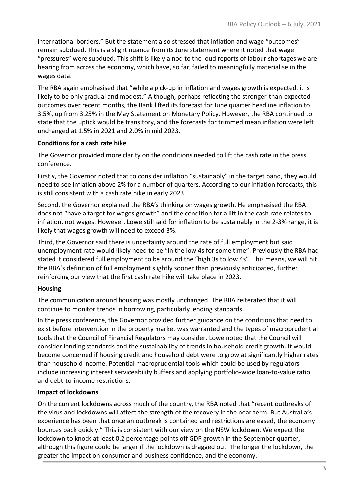international borders." But the statement also stressed that inflation and wage "outcomes" remain subdued. This is a slight nuance from its June statement where it noted that wage "pressures" were subdued. This shift is likely a nod to the loud reports of labour shortages we are hearing from across the economy, which have, so far, failed to meaningfully materialise in the wages data.

The RBA again emphasised that "while a pick-up in inflation and wages growth is expected, it is likely to be only gradual and modest." Although, perhaps reflecting the stronger-than-expected outcomes over recent months, the Bank lifted its forecast for June quarter headline inflation to 3.5%, up from 3.25% in the May Statement on Monetary Policy. However, the RBA continued to state that the uptick would be transitory, and the forecasts for trimmed mean inflation were left unchanged at 1.5% in 2021 and 2.0% in mid 2023.

#### **Conditions for a cash rate hike**

The Governor provided more clarity on the conditions needed to lift the cash rate in the press conference.

Firstly, the Governor noted that to consider inflation "sustainably" in the target band, they would need to see inflation above 2% for a number of quarters. According to our inflation forecasts, this is still consistent with a cash rate hike in early 2023.

Second, the Governor explained the RBA's thinking on wages growth. He emphasised the RBA does not "have a target for wages growth" and the condition for a lift in the cash rate relates to inflation, not wages. However, Lowe still said for inflation to be sustainably in the 2-3% range, it is likely that wages growth will need to exceed 3%.

Third, the Governor said there is uncertainty around the rate of full employment but said unemployment rate would likely need to be "in the low 4s for some time". Previously the RBA had stated it considered full employment to be around the "high 3s to low 4s". This means, we will hit the RBA's definition of full employment slightly sooner than previously anticipated, further reinforcing our view that the first cash rate hike will take place in 2023.

#### **Housing**

The communication around housing was mostly unchanged. The RBA reiterated that it will continue to monitor trends in borrowing, particularly lending standards.

In the press conference, the Governor provided further guidance on the conditions that need to exist before intervention in the property market was warranted and the types of macroprudential tools that the Council of Financial Regulators may consider. Lowe noted that the Council will consider lending standards and the sustainability of trends in household credit growth. It would become concerned if housing credit and household debt were to grow at significantly higher rates than household income. Potential macroprudential tools which could be used by regulators include increasing interest serviceability buffers and applying portfolio-wide loan-to-value ratio and debt-to-income restrictions.

#### **Impact of lockdowns**

On the current lockdowns across much of the country, the RBA noted that "recent outbreaks of the virus and lockdowns will affect the strength of the recovery in the near term. But Australia's experience has been that once an outbreak is contained and restrictions are eased, the economy bounces back quickly." This is consistent with our view on the NSW lockdown. We expect the lockdown to knock at least 0.2 percentage points off GDP growth in the September quarter, although this figure could be larger if the lockdown is dragged out. The longer the lockdown, the greater the impact on consumer and business confidence, and the economy.